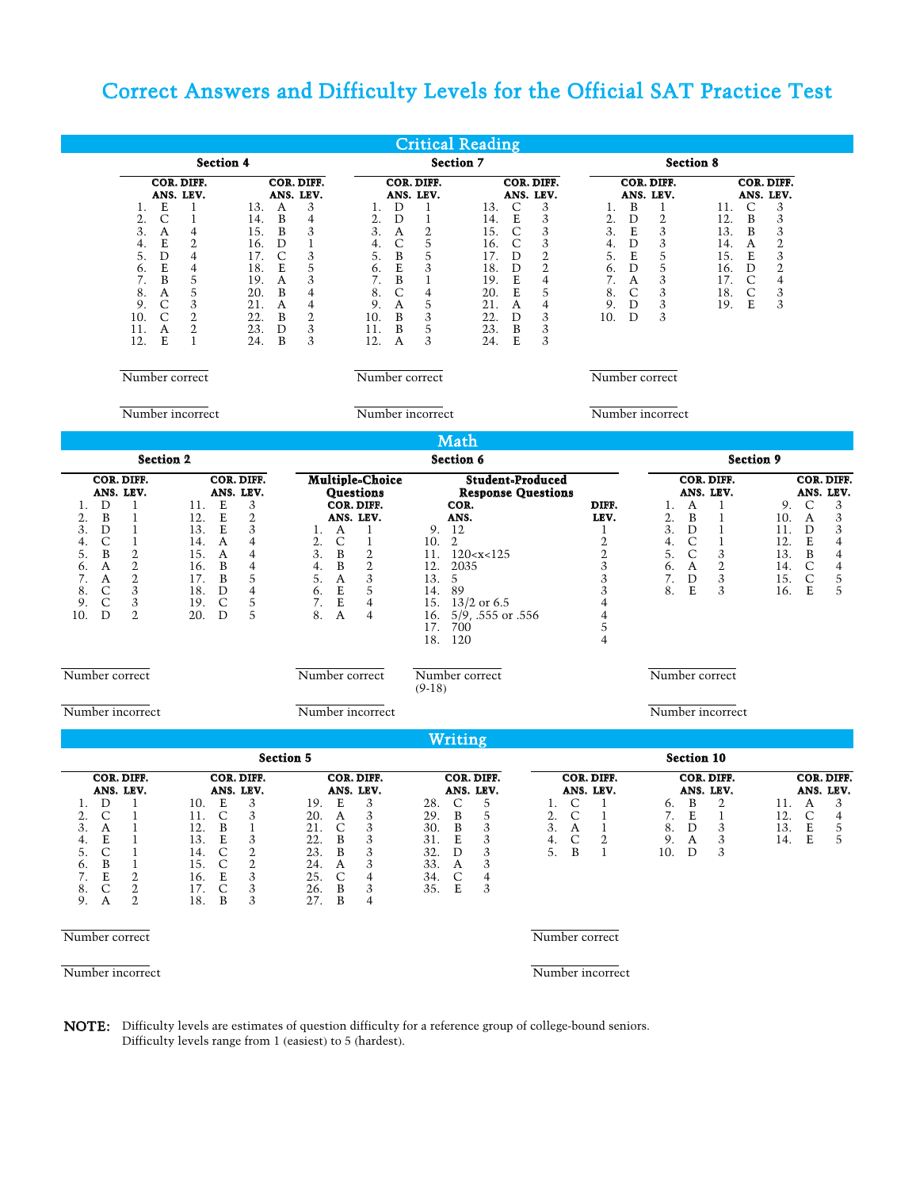# Correct Answers and Difficulty Levels for the Official SAT Practice Test

|                                                                                                                                                                                                                                                                                 |                                                                                                                                                                                                                                                                                                                                        |                                                                                                                                                                                                                                 |                                                                                                                                                                                                                                                                                                                                                        | <b>Critical Reading</b>                                                                                                                                                                                                                                                                     |                                                                                                                                                                                                                   |                                                                                                                                                                                                                                                |                                                                                                                                                                                                                           |                                                                                                                                                     |  |  |
|---------------------------------------------------------------------------------------------------------------------------------------------------------------------------------------------------------------------------------------------------------------------------------|----------------------------------------------------------------------------------------------------------------------------------------------------------------------------------------------------------------------------------------------------------------------------------------------------------------------------------------|---------------------------------------------------------------------------------------------------------------------------------------------------------------------------------------------------------------------------------|--------------------------------------------------------------------------------------------------------------------------------------------------------------------------------------------------------------------------------------------------------------------------------------------------------------------------------------------------------|---------------------------------------------------------------------------------------------------------------------------------------------------------------------------------------------------------------------------------------------------------------------------------------------|-------------------------------------------------------------------------------------------------------------------------------------------------------------------------------------------------------------------|------------------------------------------------------------------------------------------------------------------------------------------------------------------------------------------------------------------------------------------------|---------------------------------------------------------------------------------------------------------------------------------------------------------------------------------------------------------------------------|-----------------------------------------------------------------------------------------------------------------------------------------------------|--|--|
|                                                                                                                                                                                                                                                                                 | <b>Section 4</b>                                                                                                                                                                                                                                                                                                                       |                                                                                                                                                                                                                                 |                                                                                                                                                                                                                                                                                                                                                        | Section 7                                                                                                                                                                                                                                                                                   |                                                                                                                                                                                                                   | <b>Section 8</b>                                                                                                                                                                                                                               |                                                                                                                                                                                                                           |                                                                                                                                                     |  |  |
| 1.<br>2.<br>3.<br>4.<br>5.<br>6.<br>7.<br>8.<br>9.<br>10.<br>11.<br>12.                                                                                                                                                                                                         | COR. DIFF.<br>ANS. LEV.<br>E<br>1<br>$\mathbf C$<br>$\mathbf{1}$<br>$\mathbf{A}$<br>$\overline{4}$<br>$\mathbf E$<br>$\mathfrak{2}$<br>$\mathbf D$<br>$\overline{4}$<br>$\mathbf E$<br>$\overline{4}$<br>$\, {\bf B}$<br>5<br>5<br>A<br>$\mathsf{C}$<br>3<br>$\mathbf C$<br>2<br>$\boldsymbol{A}$<br>$\mathbf{2}$<br>E<br>$\mathbf{1}$ | COR. DIFF.<br>ANS. LEV.<br>13. A<br>B<br>14.<br>B<br>15.<br>D<br>16.<br>$\mathsf C$<br>17.<br>$\,$ E<br>18.<br>19.<br>A<br>20.<br>B<br>21.<br>$\mathbf{A}$<br>22.<br>$\mathbf{B}$<br>$\mathbf{D}$<br>23.<br>$\mathbf{B}$<br>24. | $\mathbb{D}$<br>3<br>1.<br>$\mathbf D$<br>$\overline{4}$<br>2.<br>3<br>3.<br>$\boldsymbol{A}$<br>$\mathbf{1}$<br>$\mathsf{C}$<br>4.<br>3<br>$\, {\bf B}$<br>5.<br>5<br>$\mathbf E$<br>6.<br>7.<br>3<br>B<br>8.<br>$\mathsf{C}$<br>4<br>$\overline{4}$<br>9.<br>$\mathbf{A}$<br>$\mathfrak{2}$<br>10.<br>B<br>3<br>B<br>11.<br>3<br>12.<br>$\mathbf{A}$ | COR. DIFF.<br>ANS. LEV.<br>1<br>13.<br>C<br>E<br>$\mathbf{1}$<br>14.<br>$\frac{2}{5}$<br>$\mathsf C$<br>15.<br>16. C<br>5<br>D<br>17.<br>3<br>$\mathbf D$<br>18.<br>E<br>$\mathbf{1}$<br>19.<br>$\overline{4}$<br>20.<br>E<br>5<br>21.<br>A<br>3<br>22. D<br>5<br>B<br>23.<br>3<br>E<br>24. | COR. DIFF.<br>ANS. LEV.<br>3<br>$\mathfrak{Z}$<br>2.<br>$\mathfrak{Z}$<br>3.<br>3<br>4.<br>$\mathfrak{2}$<br>5.<br>$\mathfrak{2}$<br>6.<br>$\overline{4}$<br>7.<br>5<br>8.<br>$\overline{4}$<br>9.<br>3<br>3<br>3 | COR. DIFF.<br>ANS. LEV.<br>1.<br>B<br>1<br>$\sqrt{2}$<br>D<br>$\mathbf E$<br>$\mathfrak{Z}$<br>$\begin{array}{c} 3 \\ 5 \end{array}$<br>D<br>$\mathbf E$<br>$\sqrt{5}$<br>D<br>$\mathfrak{Z}$<br>A<br>3<br>C<br>$\mathbf D$<br>3<br>10. D<br>3 | COR. DIFF.<br>ANS. LEV.<br>3<br>11.<br>C<br>12.<br>B<br>3<br>13.<br>B<br>3<br>$\frac{2}{3}$<br>14. A<br>E<br>15.<br>$\sqrt{2}$<br>16. D<br>$\overline{4}$<br>17. C<br>3<br>$\mathsf{C}$<br>18.<br>$\mathbf E$<br>3<br>19. |                                                                                                                                                     |  |  |
|                                                                                                                                                                                                                                                                                 | Number correct                                                                                                                                                                                                                                                                                                                         |                                                                                                                                                                                                                                 | Number correct                                                                                                                                                                                                                                                                                                                                         |                                                                                                                                                                                                                                                                                             |                                                                                                                                                                                                                   | Number correct                                                                                                                                                                                                                                 |                                                                                                                                                                                                                           |                                                                                                                                                     |  |  |
|                                                                                                                                                                                                                                                                                 | Number incorrect                                                                                                                                                                                                                                                                                                                       |                                                                                                                                                                                                                                 | Number incorrect                                                                                                                                                                                                                                                                                                                                       |                                                                                                                                                                                                                                                                                             |                                                                                                                                                                                                                   | Number incorrect                                                                                                                                                                                                                               |                                                                                                                                                                                                                           |                                                                                                                                                     |  |  |
|                                                                                                                                                                                                                                                                                 |                                                                                                                                                                                                                                                                                                                                        |                                                                                                                                                                                                                                 |                                                                                                                                                                                                                                                                                                                                                        | Math                                                                                                                                                                                                                                                                                        |                                                                                                                                                                                                                   |                                                                                                                                                                                                                                                |                                                                                                                                                                                                                           |                                                                                                                                                     |  |  |
|                                                                                                                                                                                                                                                                                 | <b>Section 2</b>                                                                                                                                                                                                                                                                                                                       |                                                                                                                                                                                                                                 |                                                                                                                                                                                                                                                                                                                                                        | Section 6                                                                                                                                                                                                                                                                                   |                                                                                                                                                                                                                   |                                                                                                                                                                                                                                                | <b>Section 9</b>                                                                                                                                                                                                          |                                                                                                                                                     |  |  |
| COR. DIFF.<br>ANS. LEV.                                                                                                                                                                                                                                                         |                                                                                                                                                                                                                                                                                                                                        | COR. DIFF.<br>ANS. LEV.                                                                                                                                                                                                         | <b>Multiple-Choice</b><br><b>Questions</b>                                                                                                                                                                                                                                                                                                             | <b>Student-Produced</b><br><b>Response Questions</b>                                                                                                                                                                                                                                        |                                                                                                                                                                                                                   | COR. DIFF.<br>ANS. LEV.                                                                                                                                                                                                                        |                                                                                                                                                                                                                           | COR. DIFF.<br>ANS. LEV.                                                                                                                             |  |  |
| D<br>1<br>1.<br>2.<br>B<br>$\mathbf{1}$<br>3.<br>D<br>$\mathbf{1}$<br>C<br>$\mathbf{1}$<br>4.<br>$\mathbf{2}$<br>B<br>5.<br>$\mathbf{2}$<br>$\mathbf{A}$<br>6.<br>$\mathbf{2}$<br>A<br>7.<br>$\mathfrak{Z}$<br>8.<br>C<br>$\mathsf{C}$<br>3<br>9.<br>D<br>$\mathfrak{2}$<br>10. | 11. E<br>E<br>12.<br>E<br>13.<br>14.<br>A<br>15. A<br>B<br>16.<br>17. B<br>18. D<br>$\mathsf{C}$<br>19.<br>20. D                                                                                                                                                                                                                       | 3<br>$\mathfrak{2}$<br>3<br>$\overline{4}$<br>$\overline{4}$<br>$\overline{4}$<br>5<br>$\overline{4}$<br>5<br>5                                                                                                                 | COR. DIFF.<br>ANS. LEV.<br>A<br>1<br>1.<br>$\mathbf{1}$<br>2.<br>$\mathsf{C}$<br>3.<br>$\mathfrak{2}$<br>B<br>$\mathbf{2}$<br>B<br>4.<br>$\mathfrak{Z}$<br>5.<br>A<br>5<br>E<br>6.<br>E<br>$\overline{4}$<br>7.<br>8.<br>A<br>$\overline{4}$                                                                                                           | COR.<br>ANS.<br>9. 12<br>10.2<br>11. 120 <x<125<br>12. 2035<br/>13. 5<br/>14. 89<br/>15. <math>13/2</math> or 6.5<br/>16. <math>5/9</math>, <math>.555</math> or <math>.556</math><br/>17. 700<br/>18. 120</x<125<br>                                                                       | DIFF.<br>LEV.<br>1<br>$\sqrt{2}$<br>$\,2\,$<br>$\overline{3}$<br>3<br>3<br>$\overline{4}$<br>$\overline{4}$<br>5<br>$\overline{\mathbf{4}}$                                                                       | A<br>1.<br>2.<br>B<br>3.<br>D<br>C<br>4.<br>5.<br>C<br>6.<br>A<br>D<br>7.<br>8.<br>E                                                                                                                                                           | 1<br>1<br>$\mathbf{1}$<br>11.<br>$\mathbf{1}$<br>12.<br>3<br>$\mathfrak{2}$<br>14.<br>3<br>15.<br>3<br>16.                                                                                                                | 9. C<br>3<br>3<br>10. A<br>3<br>D<br>E<br>$\overline{4}$<br>13. B<br>$\overline{4}$<br>$\mathbf C$<br>$\overline{4}$<br>5<br>$\mathsf{C}$<br>E<br>5 |  |  |
| Number correct                                                                                                                                                                                                                                                                  |                                                                                                                                                                                                                                                                                                                                        |                                                                                                                                                                                                                                 | Number correct                                                                                                                                                                                                                                                                                                                                         | Number correct                                                                                                                                                                                                                                                                              |                                                                                                                                                                                                                   | Number correct                                                                                                                                                                                                                                 |                                                                                                                                                                                                                           |                                                                                                                                                     |  |  |
| Number incorrect                                                                                                                                                                                                                                                                |                                                                                                                                                                                                                                                                                                                                        |                                                                                                                                                                                                                                 | Number incorrect                                                                                                                                                                                                                                                                                                                                       | $(9-18)$                                                                                                                                                                                                                                                                                    |                                                                                                                                                                                                                   | Number incorrect                                                                                                                                                                                                                               |                                                                                                                                                                                                                           |                                                                                                                                                     |  |  |
|                                                                                                                                                                                                                                                                                 |                                                                                                                                                                                                                                                                                                                                        |                                                                                                                                                                                                                                 |                                                                                                                                                                                                                                                                                                                                                        | Writing                                                                                                                                                                                                                                                                                     |                                                                                                                                                                                                                   |                                                                                                                                                                                                                                                |                                                                                                                                                                                                                           |                                                                                                                                                     |  |  |
|                                                                                                                                                                                                                                                                                 |                                                                                                                                                                                                                                                                                                                                        | <b>Section 5</b>                                                                                                                                                                                                                |                                                                                                                                                                                                                                                                                                                                                        |                                                                                                                                                                                                                                                                                             |                                                                                                                                                                                                                   | <b>Section 10</b>                                                                                                                                                                                                                              |                                                                                                                                                                                                                           |                                                                                                                                                     |  |  |
| COR. DIFF.<br>ANS. LEV.<br>1. D<br>-1<br>2. C<br>1<br>3.<br>A<br>-1<br>4.<br>$\,$ E<br>1<br>$\mathbf C$<br>5.<br>$\mathbf{1}$<br>6. B<br>$\mathbf{1}$<br>$\begin{matrix} 7. & E \\ 8. & C \end{matrix}$<br>2<br>$\mathbf{2}$<br>9. A<br>2                                       | 10. E<br>11. C<br>11. B<br>12. B<br>13. E<br>14. C<br>15. C<br>16. E<br>17. C<br>18. B                                                                                                                                                                                                                                                 | COR. DIFF.<br>ANS. LEV.<br>3<br>3<br>1<br>3<br>$\frac{2}{2}$<br>3<br>3<br>3                                                                                                                                                     | COR. DIFF.<br>ANS. LEV.<br>19. E<br>3<br>20. A<br>3<br>21. C<br>3<br>$\, {\bf B}$<br>22.<br>3<br>23.<br>$\, {\bf B}$<br>3<br>24. A<br>3<br>25. C<br>4<br>26. B<br>3<br>27. B<br>4                                                                                                                                                                      | COR. DIFF.<br>ANS. LEV.<br>28. C<br>5<br>5<br>29. B<br>$\sqrt{3}$<br>30. B<br>31. E<br>$\sqrt{3}$<br>32. D<br>$\frac{3}{3}$<br>33. A<br>$\overline{\mathbf{4}}$<br>34. C<br>35. E<br>3                                                                                                      | COR. DIFF.<br>ANS. LEV.<br>1. C<br>1<br>2. C<br>$\mathbf{I}$<br>3. A<br>1<br>$\mathsf{C}$<br>$\boldsymbol{2}$<br>4.<br>$\, {\bf B}$<br>5.<br>1                                                                    | COR. DIFF.<br>ANS. LEV.<br>6. B<br>7. E<br>8.<br>D<br>$\mathbf{A}$<br>9.<br>10. D                                                                                                                                                              | 2<br>1<br>3<br>$\sqrt{3}$<br>3                                                                                                                                                                                            | COR. DIFF.<br>ANS. LEV.<br>3<br>11. A<br>12. C<br>$\begin{array}{c} 4 \\ 5 \\ 5 \end{array}$<br>13. E<br>14. E                                      |  |  |
| Number correct                                                                                                                                                                                                                                                                  |                                                                                                                                                                                                                                                                                                                                        |                                                                                                                                                                                                                                 |                                                                                                                                                                                                                                                                                                                                                        |                                                                                                                                                                                                                                                                                             | Number correct                                                                                                                                                                                                    |                                                                                                                                                                                                                                                |                                                                                                                                                                                                                           |                                                                                                                                                     |  |  |
| Number incorrect                                                                                                                                                                                                                                                                |                                                                                                                                                                                                                                                                                                                                        |                                                                                                                                                                                                                                 |                                                                                                                                                                                                                                                                                                                                                        |                                                                                                                                                                                                                                                                                             | Number incorrect                                                                                                                                                                                                  |                                                                                                                                                                                                                                                |                                                                                                                                                                                                                           |                                                                                                                                                     |  |  |

NOTE: Difficulty levels are estimates of question difficulty for a reference group of college-bound seniors. Difficulty levels range from 1 (easiest) to 5 (hardest).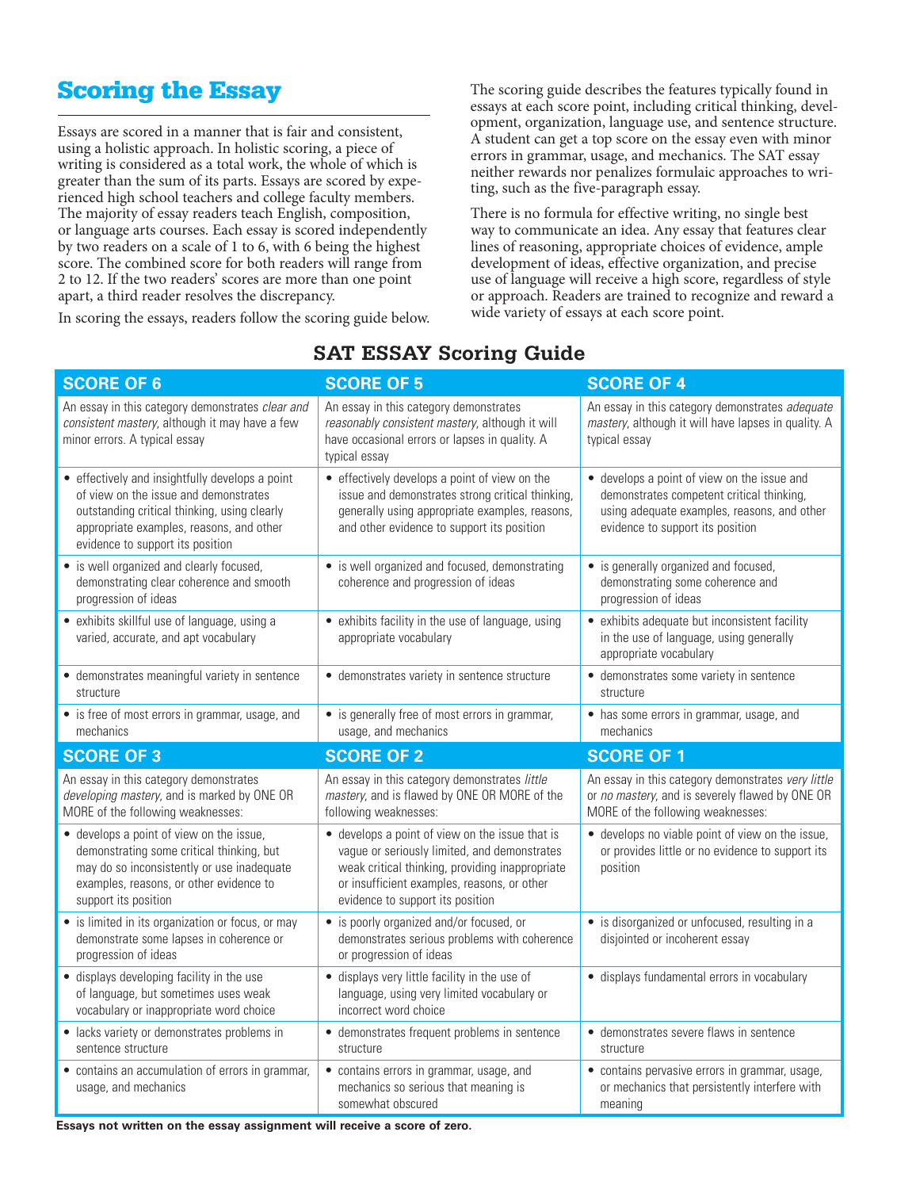# Scoring the Essay

Essays are scored in a manner that is fair and consistent, using a holistic approach. In holistic scoring, a piece of writing is considered as a total work, the whole of which is greater than the sum of its parts. Essays are scored by experienced high school teachers and college faculty members. The majority of essay readers teach English, composition, or language arts courses. Each essay is scored independently by two readers on a scale of 1 to 6, with 6 being the highest score. The combined score for both readers will range from 2 to 12. If the two readers' scores are more than one point apart, a third reader resolves the discrepancy.

In scoring the essays, readers follow the scoring guide below.

The scoring guide describes the features typically found in essays at each score point, including critical thinking, development, organization, language use, and sentence structure. A student can get a top score on the essay even with minor errors in grammar, usage, and mechanics. The SAT essay neither rewards nor penalizes formulaic approaches to wri ting, such as the five-paragraph essay.

There is no formula for effective writing, no single best way to communicate an idea. Any essay that features clear lines of reasoning, appropriate choices of evidence, ample development of ideas, effective organization, and precise use of language will receive a high score, regardless of style or approach. Readers are trained to recognize and reward a wide variety of essays at each score point.

| <b>SCORE OF 6</b>                                                                                                                                                                                                        | <b>SCORE OF 5</b>                                                                                                                                                                                                                     | <b>SCORE OF 4</b>                                                                                                                                                           |  |  |  |
|--------------------------------------------------------------------------------------------------------------------------------------------------------------------------------------------------------------------------|---------------------------------------------------------------------------------------------------------------------------------------------------------------------------------------------------------------------------------------|-----------------------------------------------------------------------------------------------------------------------------------------------------------------------------|--|--|--|
| An essay in this category demonstrates clear and<br>consistent mastery, although it may have a few<br>minor errors. A typical essay                                                                                      | An essay in this category demonstrates<br>reasonably consistent mastery, although it will<br>have occasional errors or lapses in quality. A<br>typical essay                                                                          | An essay in this category demonstrates adequate<br>mastery, although it will have lapses in quality. A<br>typical essay                                                     |  |  |  |
| • effectively and insightfully develops a point<br>of view on the issue and demonstrates<br>outstanding critical thinking, using clearly<br>appropriate examples, reasons, and other<br>evidence to support its position | • effectively develops a point of view on the<br>issue and demonstrates strong critical thinking,<br>generally using appropriate examples, reasons,<br>and other evidence to support its position                                     | • develops a point of view on the issue and<br>demonstrates competent critical thinking,<br>using adequate examples, reasons, and other<br>evidence to support its position |  |  |  |
| • is well organized and clearly focused,<br>demonstrating clear coherence and smooth<br>progression of ideas                                                                                                             | • is well organized and focused, demonstrating<br>coherence and progression of ideas                                                                                                                                                  | • is generally organized and focused,<br>demonstrating some coherence and<br>progression of ideas                                                                           |  |  |  |
| • exhibits skillful use of language, using a<br>varied, accurate, and apt vocabulary                                                                                                                                     | • exhibits facility in the use of language, using<br>appropriate vocabulary                                                                                                                                                           | • exhibits adequate but inconsistent facility<br>in the use of language, using generally<br>appropriate vocabulary                                                          |  |  |  |
| • demonstrates meaningful variety in sentence<br>structure                                                                                                                                                               | · demonstrates variety in sentence structure                                                                                                                                                                                          | • demonstrates some variety in sentence<br>structure                                                                                                                        |  |  |  |
| • is free of most errors in grammar, usage, and<br>mechanics                                                                                                                                                             | • is generally free of most errors in grammar,<br>usage, and mechanics                                                                                                                                                                | • has some errors in grammar, usage, and<br>mechanics                                                                                                                       |  |  |  |
|                                                                                                                                                                                                                          |                                                                                                                                                                                                                                       |                                                                                                                                                                             |  |  |  |
| <b>SCORE OF 3</b>                                                                                                                                                                                                        | <b>SCORE OF 2</b>                                                                                                                                                                                                                     | <b>SCORE OF 1</b>                                                                                                                                                           |  |  |  |
| An essay in this category demonstrates<br>developing mastery, and is marked by ONE OR<br>MORE of the following weaknesses:                                                                                               | An essay in this category demonstrates little<br>mastery, and is flawed by ONE OR MORE of the<br>following weaknesses:                                                                                                                | An essay in this category demonstrates very little<br>or no mastery, and is severely flawed by ONE OR<br>MORE of the following weaknesses:                                  |  |  |  |
| • develops a point of view on the issue,<br>demonstrating some critical thinking, but<br>may do so inconsistently or use inadequate<br>examples, reasons, or other evidence to<br>support its position                   | • develops a point of view on the issue that is<br>vague or seriously limited, and demonstrates<br>weak critical thinking, providing inappropriate<br>or insufficient examples, reasons, or other<br>evidence to support its position | • develops no viable point of view on the issue,<br>or provides little or no evidence to support its<br>position                                                            |  |  |  |
| • is limited in its organization or focus, or may<br>demonstrate some lapses in coherence or<br>progression of ideas                                                                                                     | • is poorly organized and/or focused, or<br>demonstrates serious problems with coherence<br>or progression of ideas                                                                                                                   | • is disorganized or unfocused, resulting in a<br>disjointed or incoherent essay                                                                                            |  |  |  |
| • displays developing facility in the use<br>of language, but sometimes uses weak<br>vocabulary or inappropriate word choice                                                                                             | · displays very little facility in the use of<br>language, using very limited vocabulary or<br>incorrect word choice                                                                                                                  | · displays fundamental errors in vocabulary                                                                                                                                 |  |  |  |
| · lacks variety or demonstrates problems in<br>sentence structure                                                                                                                                                        | • demonstrates frequent problems in sentence<br>structure                                                                                                                                                                             | • demonstrates severe flaws in sentence<br>structure                                                                                                                        |  |  |  |

### **SAT ESSAY Scoring Guide**

**Essays not written on the essay assignment will receive a score of zero.**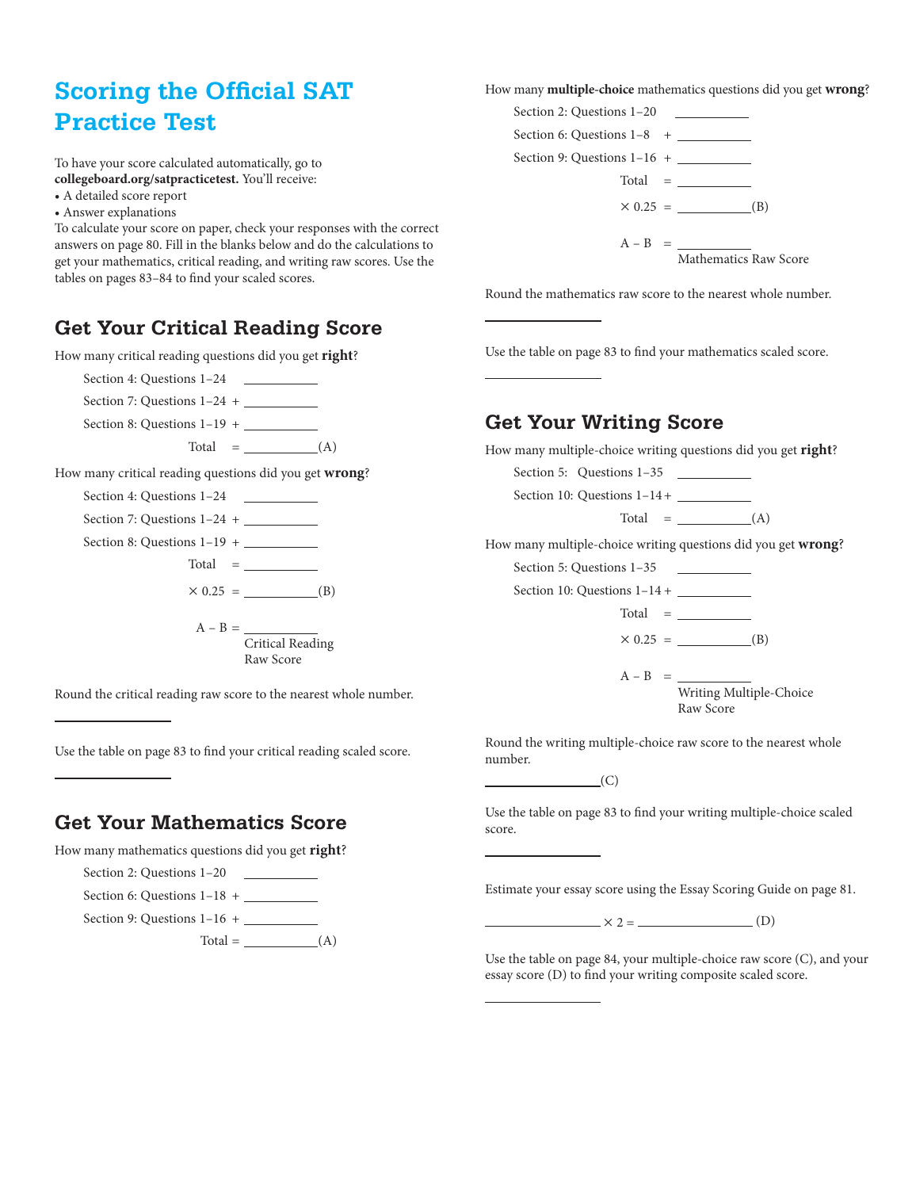# **Scoring the Official SAT Practice Test**

To have your score calculated automatically, go to **collegeboard.org/satpracticetest.** You'll receive:

- A detailed score report
- Answer explanations

To calculate your score on paper, check your responses with the correct answers on page 80. Fill in the blanks below and do the calculations to get your mathematics, critical reading, and writing raw scores. Use the tables on pages 83–84 to find your scaled scores.

### **Get Your Critical Reading Score**

How many critical reading questions did you get **right**?

Section 4: Questions 1–24 Section 7: Questions  $1-24 + \_$ Section 8: Questions  $1-19 + \_$  $Total = (A)$ 

How many critical reading questions did you get **wrong**?

Section 4: Questions 1–24 

Section 7: Questions  $1-24 + \_$ 

Section 8: Questions  $1-19 + \_$ 

 $Total = \_$ 

× 0.25 = (B)

 $A - B = \_$  Critical Reading Raw Score

Round the critical reading raw score to the nearest whole number.

Use the table on page 83 to find your critical reading scaled score.

#### **Get Your Mathematics Score**

How many mathematics questions did you get **right**?

Section 2: Questions 1–20

Section 6: Questions  $1-18 + \_$ 

Section 9: Questions  $1-16 + \_$ 

 $Total =$   $(A)$ 

How many **multiple-choice** mathematics questions did you get **wrong**?



Round the mathematics raw score to the nearest whole number.

Use the table on page 83 to find your mathematics scaled score.

### **Get Your Writing Score**

How many multiple-choice writing questions did you get **right**?

Section 5: Questions 1–35 Section 10: Questions  $1-14+$ 

Total  $=$  (A)

How many multiple-choice writing questions did you get **wrong**?

Section 5: Questions 1–35 

Section 10: Questions  $1-14+$ 

 $Total = \_$ 

× 0.25 = (B)

 $A - B = \_$ Writing Multiple-Choice Raw Score

Round the writing multiple-choice raw score to the nearest whole number.

 $(C)$ 

Use the table on page 83 to find your writing multiple-choice scaled score.

Estimate your essay score using the Essay Scoring Guide on page 81.

 $\times$  2 =  $\qquad (D)$ 

Use the table on page 84, your multiple-choice raw score (C), and your essay score (D) to find your writing composite scaled score.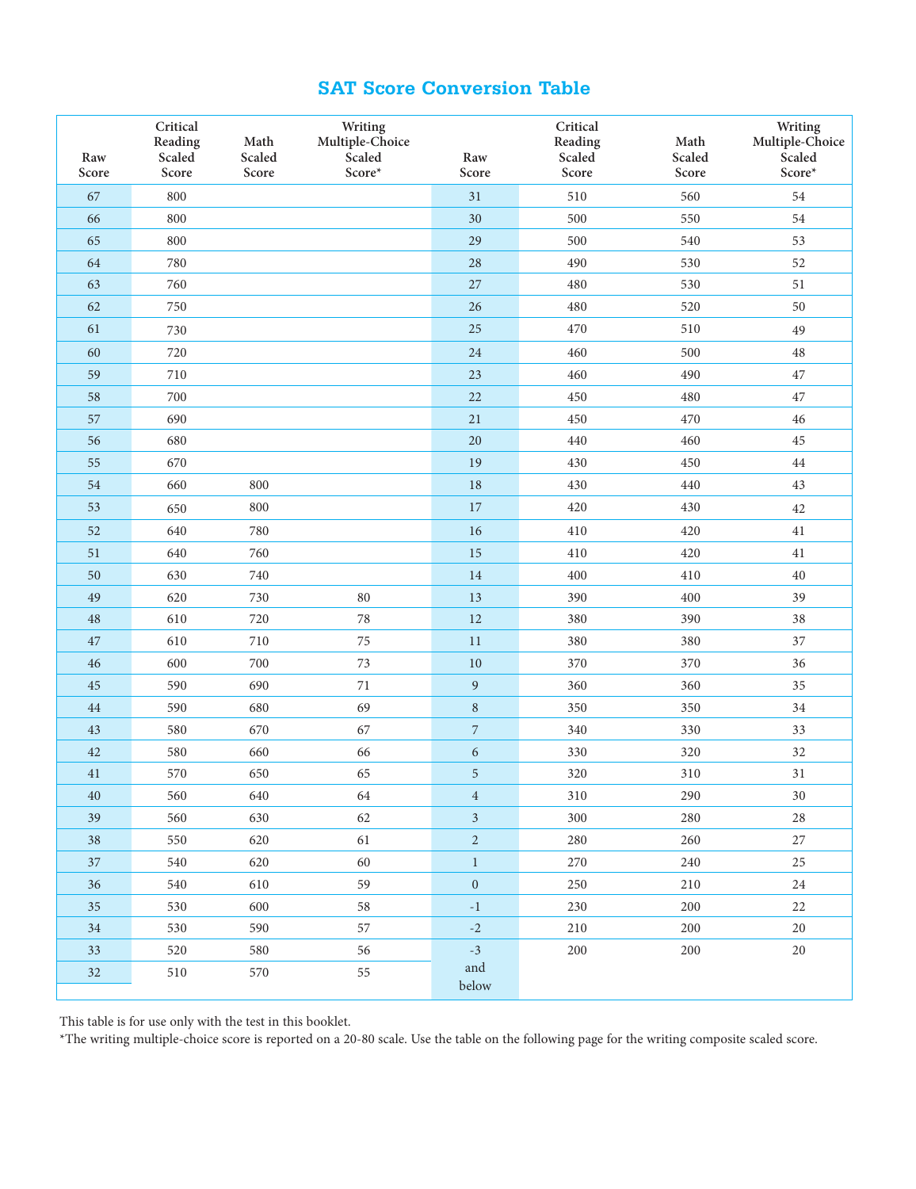## **SAT Score Conversion Table**

| Raw<br>Score | Critical<br>Reading<br>Scaled<br>Score | Math<br>Scaled<br>Score | Writing<br>Multiple-Choice<br>Scaled<br>Score* | Raw<br>Score     | Critical<br>Reading<br>Scaled<br>Score | Math<br>Scaled<br>Score | Writing<br>Multiple-Choice<br>Scaled<br>Score* |
|--------------|----------------------------------------|-------------------------|------------------------------------------------|------------------|----------------------------------------|-------------------------|------------------------------------------------|
| 67           | 800                                    |                         |                                                | 31               | 510                                    | 560                     | 54                                             |
| 66           | 800                                    |                         |                                                | 30               | 500                                    | 550                     | 54                                             |
| 65           | 800                                    |                         |                                                | 29               | 500                                    | 540                     | 53                                             |
| 64           | 780                                    |                         |                                                | 28               | 490                                    | 530                     | 52                                             |
| 63           | 760                                    |                         |                                                | $27\,$           | 480                                    | 530                     | 51                                             |
| 62           | 750                                    |                         |                                                | 26               | 480                                    | 520                     | 50                                             |
| 61           | 730                                    |                         |                                                | 25               | 470                                    | 510                     | 49                                             |
| 60           | 720                                    |                         |                                                | 24               | 460                                    | 500                     | $\rm 48$                                       |
| 59           | 710                                    |                         |                                                | 23               | 460                                    | 490                     | 47                                             |
| 58           | 700                                    |                         |                                                | 22               | 450                                    | 480                     | 47                                             |
| 57           | 690                                    |                         |                                                | $21\,$           | 450                                    | 470                     | 46                                             |
| 56           | 680                                    |                         |                                                | 20               | 440                                    | 460                     | $45\,$                                         |
| 55           | 670                                    |                         |                                                | 19               | 430                                    | 450                     | $44\,$                                         |
| 54           | 660                                    | 800                     |                                                | 18               | 430                                    | 440                     | 43                                             |
| 53           | 650                                    | 800                     |                                                | 17               | 420                                    | 430                     | 42                                             |
| 52           | 640                                    | 780                     |                                                | 16               | 410                                    | 420                     | 41                                             |
| 51           | 640                                    | 760                     |                                                | 15               | 410                                    | 420                     | $41\,$                                         |
| 50           | 630                                    | 740                     |                                                | 14               | 400                                    | 410                     | $40\,$                                         |
| 49           | 620                                    | 730                     | 80                                             | 13               | 390                                    | 400                     | 39                                             |
| $\bf 48$     | 610                                    | 720                     | 78                                             | 12               | 380                                    | 390                     | 38                                             |
| 47           | 610                                    | 710                     | 75                                             | $11\,$           | 380                                    | 380                     | 37                                             |
| 46           | 600                                    | 700                     | 73                                             | $10\,$           | 370                                    | 370                     | 36                                             |
| $45\,$       | 590                                    | 690                     | $71\,$                                         | $\boldsymbol{9}$ | 360                                    | 360                     | 35                                             |
| 44           | 590                                    | 680                     | 69                                             | $\,8\,$          | 350                                    | 350                     | 34                                             |
| 43           | 580                                    | 670                     | 67                                             | $\overline{7}$   | 340                                    | 330                     | 33                                             |
| 42           | 580                                    | 660                     | 66                                             | 6                | 330                                    | 320                     | 32                                             |
| 41           | 570                                    | 650                     | 65                                             | $\sqrt{5}$       | 320                                    | 310                     | 31                                             |
| $40\,$       | 560                                    | 640                     | 64                                             | $\overline{4}$   | $310\,$                                | 290                     | 30                                             |
| 39           | 560                                    | 630                     | 62                                             | $\overline{3}$   | 300                                    | 280                     | $28\,$                                         |
| 38           | 550                                    | 620                     | 61                                             | $\overline{2}$   | 280                                    | 260                     | $27\,$                                         |
| 37           | 540                                    | 620                     | 60                                             | $1\,$            | 270                                    | 240                     | 25                                             |
| 36           | 540                                    | 610                     | 59                                             | $\mathbf{0}$     | 250                                    | 210                     | $24\,$                                         |
| 35           | 530                                    | 600                     | 58                                             | $-1$             | 230                                    | 200                     | 22                                             |
| 34           | 530                                    | 590                     | 57                                             | $-2$             | 210                                    | 200                     | $20\,$                                         |
| 33           | 520                                    | 580                     | 56                                             | $-3$             | 200                                    | 200                     | $20\,$                                         |
| 32           | 510                                    | 570                     | 55                                             | and<br>below     |                                        |                         |                                                |

This table is for use only with the test in this booklet.

\*The writing multiple-choice score is reported on a 20-80 scale. Use the table on the following page for the writing composite scaled score.